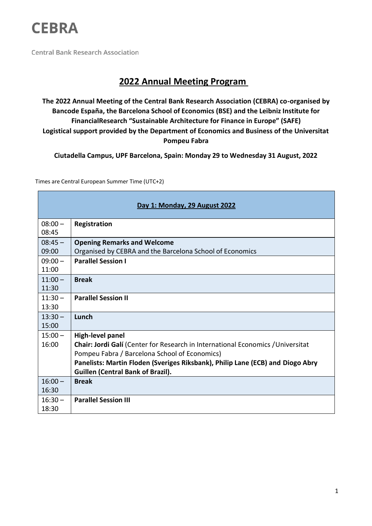

**Central Bank Research Association** 

## **2022 Annual Meeting Program**

**The 2022 Annual Meeting of the Central Bank Research Association (CEBRA) co-organised by Bancode España, the Barcelona School of Economics (BSE) and the Leibniz Institute for FinancialResearch "Sustainable Architecture for Finance in Europe" (SAFE) Logistical support provided by the Department of Economics and Business of the Universitat Pompeu Fabra**

**Ciutadella Campus, UPF Barcelona, Spain: Monday 29 to Wednesday 31 August, 2022**

Times are Central European Summer Time (UTC+2)

| Day 1: Monday, 29 August 2022 |                                                                                                                                                                                                                                                                                           |
|-------------------------------|-------------------------------------------------------------------------------------------------------------------------------------------------------------------------------------------------------------------------------------------------------------------------------------------|
| $08:00 -$<br>08:45            | Registration                                                                                                                                                                                                                                                                              |
| $08:45 -$<br>09:00            | <b>Opening Remarks and Welcome</b><br>Organised by CEBRA and the Barcelona School of Economics                                                                                                                                                                                            |
| $09:00 -$<br>11:00            | <b>Parallel Session I</b>                                                                                                                                                                                                                                                                 |
| $11:00 -$<br>11:30            | <b>Break</b>                                                                                                                                                                                                                                                                              |
| $11:30-$<br>13:30             | <b>Parallel Session II</b>                                                                                                                                                                                                                                                                |
| $13:30 -$<br>15:00            | Lunch                                                                                                                                                                                                                                                                                     |
| $15:00 -$<br>16:00            | <b>High-level panel</b><br>Chair: Jordi Galí (Center for Research in International Economics / Universitat<br>Pompeu Fabra / Barcelona School of Economics)<br>Panelists: Martin Floden (Sveriges Riksbank), Philip Lane (ECB) and Diogo Abry<br><b>Guillen (Central Bank of Brazil).</b> |
| $16:00 -$<br>16:30            | <b>Break</b>                                                                                                                                                                                                                                                                              |
| $16:30 -$<br>18:30            | <b>Parallel Session III</b>                                                                                                                                                                                                                                                               |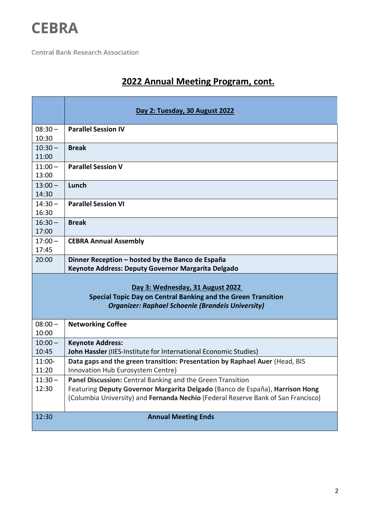

**Central Bank Research Association** 

## **2022 Annual Meeting Program, cont.**

|                                                                                                                                                                      | Day 2: Tuesday, 30 August 2022                                                                                                                                                                                                         |  |
|----------------------------------------------------------------------------------------------------------------------------------------------------------------------|----------------------------------------------------------------------------------------------------------------------------------------------------------------------------------------------------------------------------------------|--|
| $08:30 -$<br>10:30                                                                                                                                                   | <b>Parallel Session IV</b>                                                                                                                                                                                                             |  |
| $10:30 -$<br>11:00                                                                                                                                                   | <b>Break</b>                                                                                                                                                                                                                           |  |
| $11:00 -$<br>13:00                                                                                                                                                   | <b>Parallel Session V</b>                                                                                                                                                                                                              |  |
| $13:00 -$<br>14:30                                                                                                                                                   | Lunch                                                                                                                                                                                                                                  |  |
| $14:30 -$<br>16:30                                                                                                                                                   | <b>Parallel Session VI</b>                                                                                                                                                                                                             |  |
| $16:30 -$<br>17:00                                                                                                                                                   | <b>Break</b>                                                                                                                                                                                                                           |  |
| $17:00 -$<br>17:45                                                                                                                                                   | <b>CEBRA Annual Assembly</b>                                                                                                                                                                                                           |  |
| 20:00                                                                                                                                                                | Dinner Reception - hosted by the Banco de España<br>Keynote Address: Deputy Governor Margarita Delgado                                                                                                                                 |  |
| Day 3: Wednesday, 31 August 2022<br><b>Special Topic Day on Central Banking and the Green Transition</b><br><b>Organizer: Raphael Schoenle (Brandeis University)</b> |                                                                                                                                                                                                                                        |  |
| $08:00 -$<br>10:00                                                                                                                                                   | <b>Networking Coffee</b>                                                                                                                                                                                                               |  |
| $10:00 -$<br>10:45                                                                                                                                                   | <b>Keynote Address:</b><br>John Hassler (IIES-Institute for International Economic Studies)                                                                                                                                            |  |
| 11:00-<br>11:20                                                                                                                                                      | Data gaps and the green transition: Presentation by Raphael Auer (Head, BIS<br>Innovation Hub Eurosystem Centre)                                                                                                                       |  |
| $11:30 -$<br>12:30                                                                                                                                                   | <b>Panel Discussion:</b> Central Banking and the Green Transition<br>Featuring Deputy Governor Margarita Delgado (Banco de España), Harrison Hong<br>(Columbia University) and Fernanda Nechio (Federal Reserve Bank of San Francisco) |  |
| 12:30<br><b>Annual Meeting Ends</b>                                                                                                                                  |                                                                                                                                                                                                                                        |  |